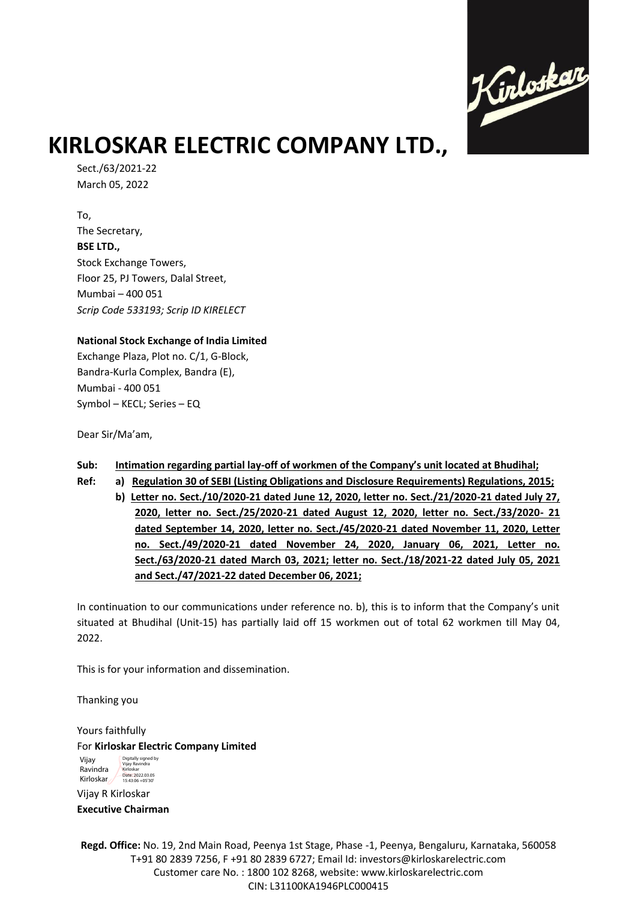

# **KIRLOSKAR ELECTRIC COMPANY LTD.,**

Sect./63/2021-22 March 05, 2022

To, The Secretary, **BSE LTD.,**  Stock Exchange Towers, Floor 25, PJ Towers, Dalal Street, Mumbai – 400 051 *Scrip Code 533193; Scrip ID KIRELECT*

### **National Stock Exchange of India Limited**

Exchange Plaza, Plot no. C/1, G-Block, Bandra-Kurla Complex, Bandra (E), Mumbai - 400 051 Symbol – KECL; Series – EQ

Dear Sir/Ma'am,

### **Sub: Intimation regarding partial lay-off of workmen of the Company's unit located at Bhudihal;**

- **Ref: a) Regulation 30 of SEBI (Listing Obligations and Disclosure Requirements) Regulations, 2015;**
	- **b) Letter no. Sect./10/2020-21 dated June 12, 2020, letter no. Sect./21/2020-21 dated July 27, 2020, letter no. Sect./25/2020-21 dated August 12, 2020, letter no. Sect./33/2020- 21 dated September 14, 2020, letter no. Sect./45/2020-21 dated November 11, 2020, Letter no. Sect./49/2020-21 dated November 24, 2020, January 06, 2021, Letter no. Sect./63/2020-21 dated March 03, 2021; letter no. Sect./18/2021-22 dated July 05, 2021 and Sect./47/2021-22 dated December 06, 2021;**

In continuation to our communications under reference no. b), this is to inform that the Company's unit situated at Bhudihal (Unit-15) has partially laid off 15 workmen out of total 62 workmen till May 04, 2022.

This is for your information and dissemination.

Thanking you

Yours faithfully For **Kirloskar Electric Company Limited**

Vijay Ravindra Kirloskar Digitally signed by Vijay Ravindra Kirloskar Date: 2022.03.05 15:43:06 +05'30'

Vijay R Kirloskar **Executive Chairman** 

**Regd. Office:** No. 19, 2nd Main Road, Peenya 1st Stage, Phase -1, Peenya, Bengaluru, Karnataka, 560058 T+91 80 2839 7256, F +91 80 2839 6727; Email Id: investors@kirloskarelectric.com Customer care No. : 1800 102 8268, website: www.kirloskarelectric.com CIN: L31100KA1946PLC000415